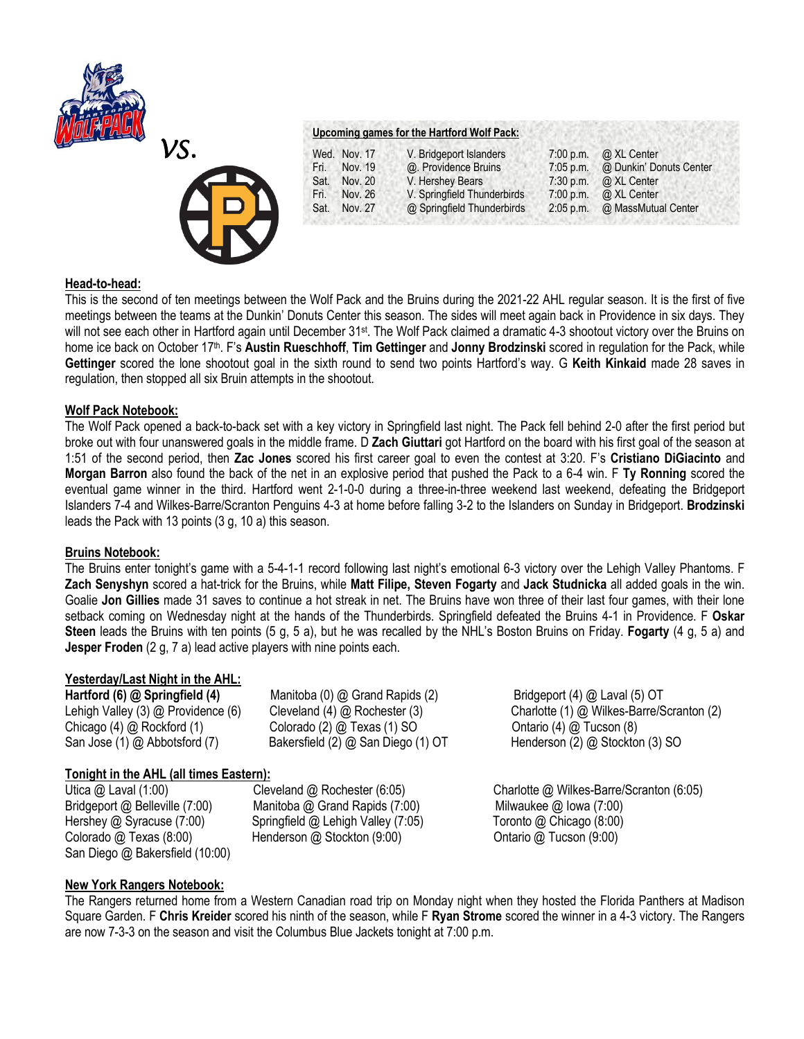



## **Upcoming games for the Hartford Wolf Pack:**

|      | Wed. Nov. 17 | V. Bridgeport Islanders     | 7:00 p.m.   | @ XL Center             |
|------|--------------|-----------------------------|-------------|-------------------------|
| Fri. | Nov. 19      | @. Providence Bruins        | $7:05$ p.m. | @ Dunkin' Donuts Center |
| Sat. | Nov. 20      | V. Hershey Bears            | $7:30$ p.m. | @ XL Center             |
| Fri. | Nov. 26      | V. Springfield Thunderbirds | 7:00 p.m.   | @ XL Center             |
| Sat. | Nov. 27      | @ Springfield Thunderbirds  | $2:05$ p.m. | @ MassMutual Center     |

## **Head-to-head:**

This is the second of ten meetings between the Wolf Pack and the Bruins during the 2021-22 AHL regular season. It is the first of five meetings between the teams at the Dunkin' Donuts Center this season. The sides will meet again back in Providence in six days. They will not see each other in Hartford again until December 31<sup>st</sup>. The Wolf Pack claimed a dramatic 4-3 shootout victory over the Bruins on home ice back on October 17th. F's **Austin Rueschhoff**, **Tim Gettinger** and **Jonny Brodzinski** scored in regulation for the Pack, while **Gettinger** scored the lone shootout goal in the sixth round to send two points Hartford's way. G **Keith Kinkaid** made 28 saves in regulation, then stopped all six Bruin attempts in the shootout.

# **Wolf Pack Notebook:**

The Wolf Pack opened a back-to-back set with a key victory in Springfield last night. The Pack fell behind 2-0 after the first period but broke out with four unanswered goals in the middle frame. D **Zach Giuttari** got Hartford on the board with his first goal of the season at 1:51 of the second period, then **Zac Jones** scored his first career goal to even the contest at 3:20. F's **Cristiano DiGiacinto** and **Morgan Barron** also found the back of the net in an explosive period that pushed the Pack to a 6-4 win. F **Ty Ronning** scored the eventual game winner in the third. Hartford went 2-1-0-0 during a three-in-three weekend last weekend, defeating the Bridgeport Islanders 7-4 and Wilkes-Barre/Scranton Penguins 4-3 at home before falling 3-2 to the Islanders on Sunday in Bridgeport. **Brodzinski**  leads the Pack with 13 points (3 g, 10 a) this season.

#### **Bruins Notebook:**

The Bruins enter tonight's game with a 5-4-1-1 record following last night's emotional 6-3 victory over the Lehigh Valley Phantoms. F **Zach Senyshyn** scored a hat-trick for the Bruins, while **Matt Filipe, Steven Fogarty** and **Jack Studnicka** all added goals in the win. Goalie **Jon Gillies** made 31 saves to continue a hot streak in net. The Bruins have won three of their last four games, with their lone setback coming on Wednesday night at the hands of the Thunderbirds. Springfield defeated the Bruins 4-1 in Providence. F **Oskar Steen** leads the Bruins with ten points (5 g, 5 a), but he was recalled by the NHL's Boston Bruins on Friday. **Fogarty** (4 g, 5 a) and **Jesper Froden** (2 g, 7 a) lead active players with nine points each.

## **Yesterday/Last Night in the AHL:**

**Hartford (6) @ Springfield (4)** Manitoba (0) @ Grand Rapids (2)Bridgeport (4) @ Laval (5) OT Chicago (4) @ Rockford (1) Colorado (2) @ Texas (1) SO Ontario (4) @ Tucson (8) San Jose (1) @ Abbotsford (7) Bakersfield (2) @ San Diego (1) OT Henderson (2) @ Stockton (3) SO

Lehigh Valley (3) @ Providence (6) Cleveland (4) @ Rochester (3)Charlotte (1) @ Wilkes-Barre/Scranton (2)

# **Tonight in the AHL (all times Eastern):**

Bridgeport @ Belleville (7:00)Manitoba @ Grand Rapids (7:00) Milwaukee @ Iowa (7:00) Hershey @ Syracuse (7:00) Springfield @ Lehigh Valley (7:05) Toronto @ Chicago (8:00)<br>Colorado @ Texas (8:00) Henderson @ Stockton (9:00) Ontario @ Tucson (9:00) Colorado @ Texas (8:00) Henderson @ Stockton (9:00) San Diego @ Bakersfield (10:00)

Utica @ Laval (1:00)Cleveland @ Rochester (6:05) Charlotte @ Wilkes-Barre/Scranton (6:05)

# **New York Rangers Notebook:**

The Rangers returned home from a Western Canadian road trip on Monday night when they hosted the Florida Panthers at Madison Square Garden. F **Chris Kreider** scored his ninth of the season, while F **Ryan Strome** scored the winner in a 4-3 victory. The Rangers are now 7-3-3 on the season and visit the Columbus Blue Jackets tonight at 7:00 p.m.